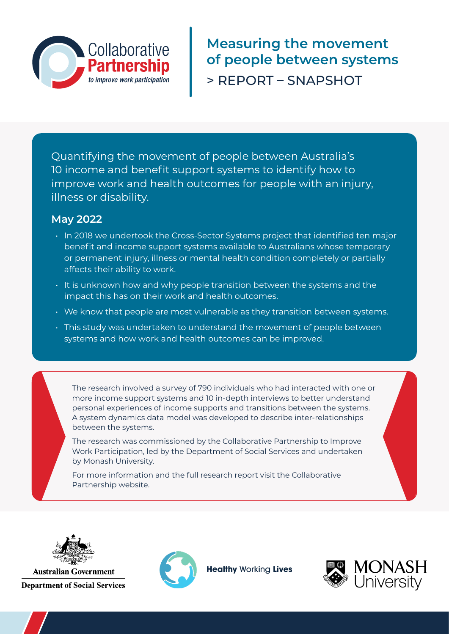

**Measuring the movement of people between systems**  > REPORT – SNAPSHOT

Quantifying the movement of people between Australia's 10 income and benefit support systems to identify how to improve work and health outcomes for people with an injury, illness or disability.

### **May 2022**

- In 2018 we undertook the Cross-Sector Systems project that identified ten major benefit and income support systems available to Australians whose temporary or permanent injury, illness or mental health condition completely or partially affects their ability to work.
- It is unknown how and why people transition between the systems and the impact this has on their work and health outcomes.
- We know that people are most vulnerable as they transition between systems.
- This study was undertaken to understand the movement of people between systems and how work and health outcomes can be improved.

The research involved a survey of 790 individuals who had interacted with one or more income support systems and 10 in-depth interviews to better understand personal experiences of income supports and transitions between the systems. A system dynamics data model was developed to describe inter-relationships between the systems.

The research was commissioned by the Collaborative Partnership to Improve Work Participation, led by the Department of Social Services and undertaken by Monash University.

For more information and the full research report visit the Collaborative Partnership website.



**Australian Government Department of Social Services** 



**Healthy Working Lives** 

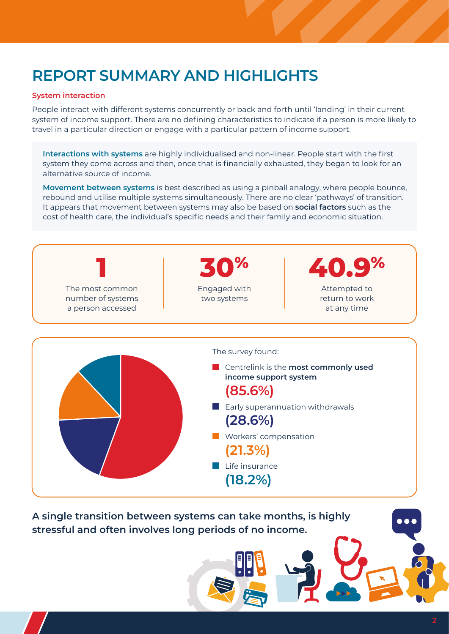## **REPORT SUMMARY AND HIGHLIGHTS**

#### **System interaction**

People interact with different systems concurrently or back and forth until 'landing' in their current system of income support. There are no defining characteristics to indicate if a person is more likely to travel in a particular direction or engage with a particular pattern of income support.

**Interactions with systems** are highly individualised and non-linear. People start with the first system they come across and then, once that is financially exhausted, they began to look for an alternative source of income.

**Movement between systems** is best described as using a pinball analogy, where people bounce, rebound and utilise multiple systems simultaneously. There are no clear 'pathways' of transition. It appears that movement between systems may also be based on **social factors** such as the cost of health care, the individual's specific needs and their family and economic situation.



**A single transition between systems can take months, is highly stressful and often involves long periods of no income.**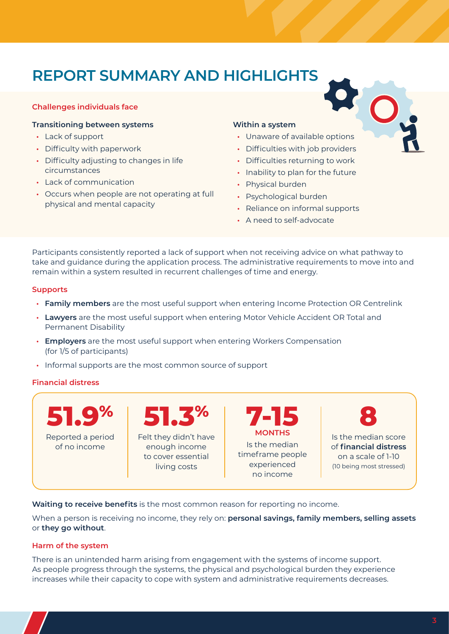# **REPORT SUMMARY AND HIGHLIGHTS •** Unaware of available options

#### **Challenges individuals face**

#### **Transitioning between systems**

- **•** Lack of support
- **•** Difficulty with paperwork
- **•** Difficulty adjusting to changes in life circumstances
- **•** Lack of communication
- **•** Occurs when people are not operating at full physical and mental capacity

#### **Within a system**

- 
- **•** Difficulties with job providers
- **•** Difficulties returning to work
- **•** Inability to plan for the future
- **•** Physical burden
- **•** Psychological burden
- **•** Reliance on informal supports
- **•** A need to self-advocate

Participants consistently reported a lack of support when not receiving advice on what pathway to take and guidance during the application process. The administrative requirements to move into and remain within a system resulted in recurrent challenges of time and energy.

#### **Supports**

- **• Family members** are the most useful support when entering Income Protection OR Centrelink
- **• Lawyers** are the most useful support when entering Motor Vehicle Accident OR Total and Permanent Disability
- **• Employers** are the most useful support when entering Workers Compensation (for 1/5 of participants)
- **•** Informal supports are the most common source of support

#### **Financial distress**



**Waiting to receive benefits** is the most common reason for reporting no income.

When a person is receiving no income, they rely on: **personal savings, family members, selling assets** or **they go without**.

#### **Harm of the system**

There is an unintended harm arising from engagement with the systems of income support. As people progress through the systems, the physical and psychological burden they experience increases while their capacity to cope with system and administrative requirements decreases.